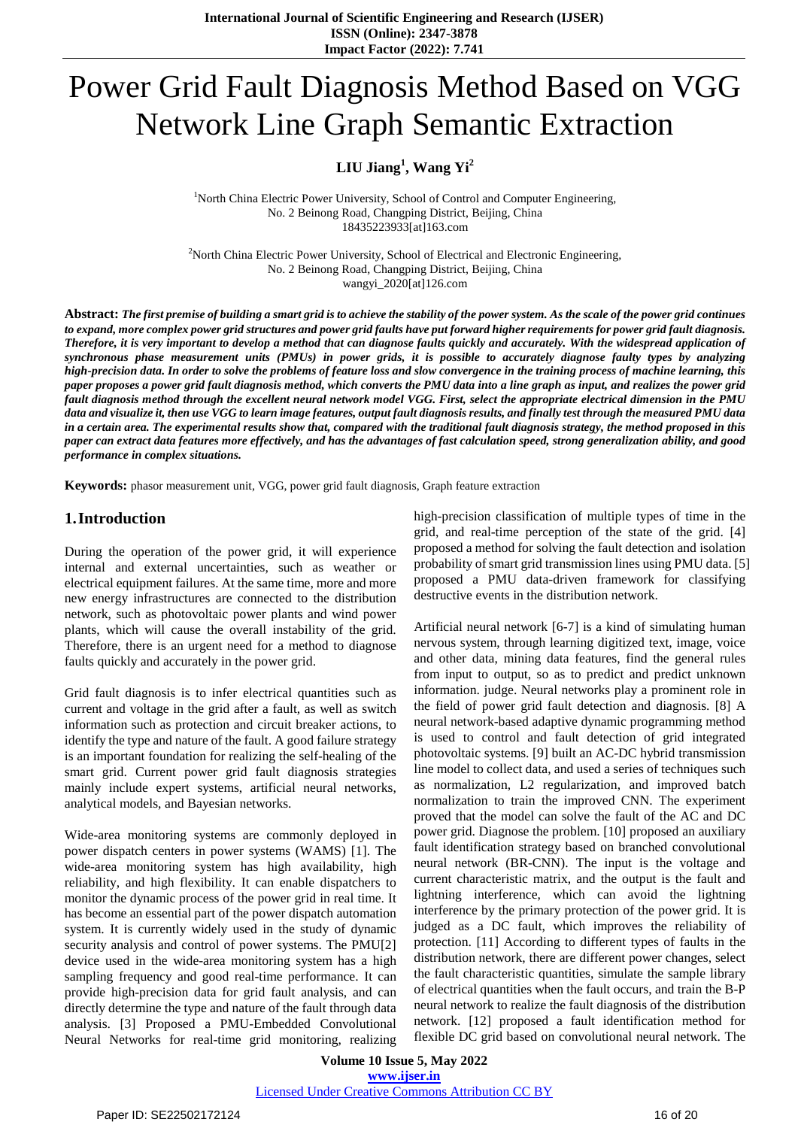# Power Grid Fault Diagnosis Method Based on VGG Network Line Graph Semantic Extraction

# **LIU Jiang<sup>1</sup> , Wang Yi<sup>2</sup>**

<sup>1</sup>North China Electric Power University, School of Control and Computer Engineering, No. 2 Beinong Road, Changping District, Beijing, China 18435223933[at]163.com

<sup>2</sup>North China Electric Power University, School of Electrical and Electronic Engineering, No. 2 Beinong Road, Changping District, Beijing, China wangyi\_2020[at]126.com

Abstract: The first premise of building a smart grid is to achieve the stability of the power system. As the scale of the power grid continues to expand, more complex power grid structures and power grid faults have put forward higher requirements for power grid fault diagnosis. Therefore, it is very important to develop a method that can diagnose faults quickly and accurately. With the widespread application of synchronous phase measurement units (PMUs) in power grids, it is possible to accurately diagnose faulty types by analyzing high-precision data. In order to solve the problems of feature loss and slow convergence in the training process of machine learning, this paper proposes a power grid fault diagnosis method, which converts the PMU data into a line graph as input, and realizes the power grid fault diagnosis method through the excellent neural network model VGG. First, select the appropriate electrical dimension in the PMU data and visualize it, then use VGG to learn image features, output fault diagnosis results, and finally test through the measured PMU data in a certain area. The experimental results show that, compared with the traditional fault diagnosis strategy, the method proposed in this paper can extract data features more effectively, and has the advantages of fast calculation speed, strong generalization ability, and good *performance in complex situations.*

**Keywords:** phasor measurement unit, VGG, power grid fault diagnosis, Graph feature extraction

### **1.Introduction**

During the operation of the power grid, it will experience internal and external uncertainties, such as weather or electrical equipment failures. At the same time, more and more new energy infrastructures are connected to the distribution network, such as photovoltaic power plants and wind power plants, which will cause the overall instability of the grid. Therefore, there is an urgent need for a method to diagnose faults quickly and accurately in the power grid.

Grid fault diagnosis is to infer electrical quantities such as current and voltage in the grid after a fault, as well as switch information such as protection and circuit breaker actions, to identify the type and nature of the fault. A good failure strategy is an important foundation for realizing the self-healing of the smart grid. Current power grid fault diagnosis strategies mainly include expert systems, artificial neural networks, analytical models, and Bayesian networks.

Wide-area monitoring systems are commonly deployed in power dispatch centers in power systems (WAMS) [1]. The wide-area monitoring system has high availability, high reliability, and high flexibility. It can enable dispatchers to monitor the dynamic process of the power grid in real time. It has become an essential part of the power dispatch automation system. It is currently widely used in the study of dynamic security analysis and control of power systems. The PMU[2] device used in the wide-area monitoring system has a high sampling frequency and good real-time performance. It can provide high-precision data for grid fault analysis, and can directly determine the type and nature of the fault through data analysis. [3] Proposed a PMU-Embedded Convolutional Neural Networks for real-time grid monitoring, realizing

high-precision classification of multiple types of time in the grid, and real-time perception of the state of the grid. [4] proposed a method for solving the fault detection and isolation probability of smart grid transmission lines using PMU data. [5] proposed a PMU data-driven framework for classifying destructive events in the distribution network.

Artificial neural network [6-7] is a kind of simulating human nervous system, through learning digitized text, image, voice and other data, mining data features, find the general rules from input to output, so as to predict and predict unknown information. judge. Neural networks play a prominent role in the field of power grid fault detection and diagnosis. [8] A neural network-based adaptive dynamic programming method is used to control and fault detection of grid integrated photovoltaic systems. [9] built an AC-DC hybrid transmission line model to collect data, and used a series of techniques such as normalization, L2 regularization, and improved batch normalization to train the improved CNN. The experiment proved that the model can solve the fault of the AC and DC power grid. Diagnose the problem. [10] proposed an auxiliary fault identification strategy based on branched convolutional neural network (BR-CNN). The input is the voltage and current characteristic matrix, and the output is the fault and lightning interference, which can avoid the lightning interference by the primary protection of the power grid. It is judged as a DC fault, which improves the reliability of protection. [11] According to different types of faults in the distribution network, there are different power changes, select the fault characteristic quantities, simulate the sample library of electrical quantities when the fault occurs, and train the B-P neural network to realize the fault diagnosis of the distribution network. [12] proposed a fault identification method for flexible DC grid based on convolutional neural network. The

**Volume 10 Issue 5, May 2022 www.ijser.in** Licensed Under Creative Commons Attribution CC BY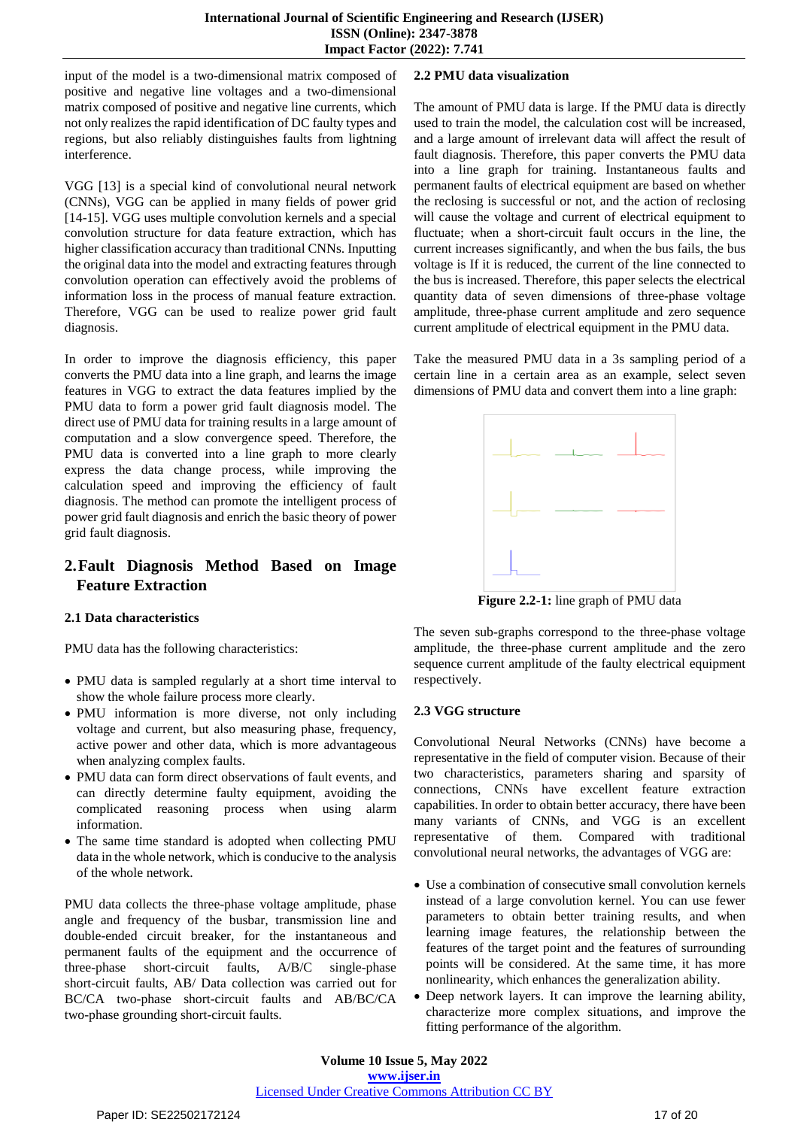input of the model is a two-dimensional matrix composed of positive and negative line voltages and a two-dimensional matrix composed of positive and negative line currents, which not only realizes the rapid identification of DC faulty types and regions, but also reliably distinguishes faults from lightning interference.

VGG [13] is a special kind of convolutional neural network (CNNs), VGG can be applied in many fields of power grid [14-15]. VGG uses multiple convolution kernels and a special convolution structure for data feature extraction, which has higher classification accuracy than traditional CNNs. Inputting the original data into the model and extracting features through convolution operation can effectively avoid the problems of information loss in the process of manual feature extraction. Therefore, VGG can be used to realize power grid fault diagnosis.

In order to improve the diagnosis efficiency, this paper converts the PMU data into a line graph, and learns the image features in VGG to extract the data features implied by the PMU data to form a power grid fault diagnosis model. The direct use of PMU data for training results in a large amount of computation and a slow convergence speed. Therefore, the PMU data is converted into a line graph to more clearly express the data change process, while improving the calculation speed and improving the efficiency of fault diagnosis. The method can promote the intelligent process of power grid fault diagnosis and enrich the basic theory of power grid fault diagnosis.

# **2.Fault Diagnosis Method Based on Image Feature Extraction**

#### **2.1 Data characteristics**

PMU data has the following characteristics:

- PMU data is sampled regularly at a short time interval to show the whole failure process more clearly.
- PMU information is more diverse, not only including voltage and current, but also measuring phase, frequency, active power and other data, which is more advantageous when analyzing complex faults.
- PMU data can form direct observations of fault events, and can directly determine faulty equipment, avoiding the complicated reasoning process when using alarm information.
- The same time standard is adopted when collecting PMU data in the whole network, which is conducive to the analysis of the whole network.

PMU data collects the three-phase voltage amplitude, phase angle and frequency of the busbar, transmission line and double-ended circuit breaker, for the instantaneous and permanent faults of the equipment and the occurrence of three-phase short-circuit faults, A/B/C single-phase three-phase short-circuit faults,  $A/B/C$ short-circuit faults, AB/ Data collection was carried out for BC/CA two-phase short-circuit faults and AB/BC/CA two-phase grounding short-circuit faults.

#### **2.2 PMU data visualization**

The amount of PMU data is large. If the PMU data is directly used to train the model, the calculation cost will be increased, and a large amount of irrelevant data will affect the result of fault diagnosis. Therefore, this paper converts the PMU data into a line graph for training. Instantaneous faults and permanent faults of electrical equipment are based on whether the reclosing is successful or not, and the action of reclosing will cause the voltage and current of electrical equipment to fluctuate; when a short-circuit fault occurs in the line, the current increases significantly, and when the bus fails, the bus voltage is If it is reduced, the current of the line connected to the bus is increased. Therefore, this paper selects the electrical quantity data of seven dimensions of three-phase voltage amplitude, three-phase current amplitude and zero sequence current amplitude of electrical equipment in the PMU data.

Take the measured PMU data in a 3s sampling period of a certain line in a certain area as an example, select seven dimensions of PMU data and convert them into a line graph:



**Figure 2.2-1:** line graph of PMU data

The seven sub-graphs correspond to the three-phase voltage amplitude, the three-phase current amplitude and the zero sequence current amplitude of the faulty electrical equipment respectively.

#### **2.3 VGG structure**

Convolutional Neural Networks (CNNs) have become a representative in the field of computer vision. Because of their two characteristics, parameters sharing and sparsity of connections, CNNs have excellent feature extraction capabilities. In order to obtain better accuracy, there have been many variants of CNNs, and VGG is an excellent representative of them. Compared with traditional convolutional neural networks, the advantages of VGG are:

- Use a combination of consecutive small convolution kernels instead of a large convolution kernel. You can use fewer parameters to obtain better training results, and when learning image features, the relationship between the features of the target point and the features of surrounding points will be considered. At the same time, it has more nonlinearity, which enhances the generalization ability.
- Deep network layers. It can improve the learning ability, characterize more complex situations, and improve the fitting performance of the algorithm.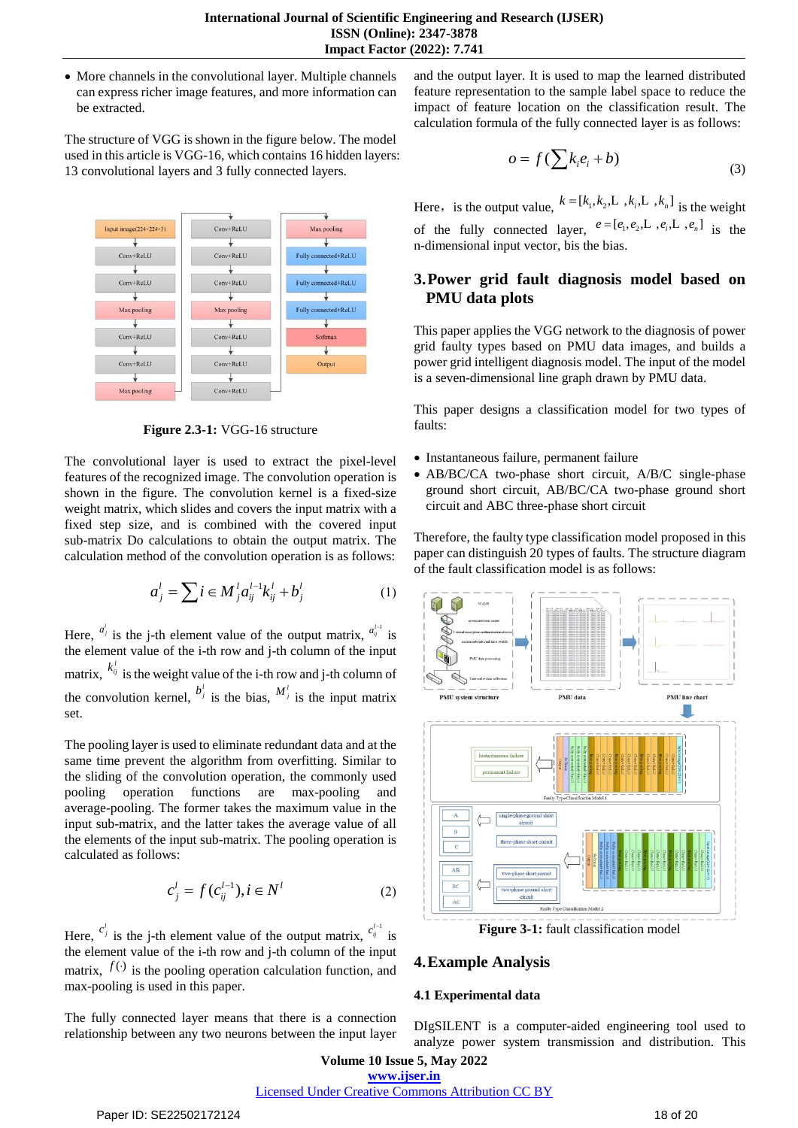More channels in the convolutional layer. Multiple channels can express richer image features, and more information can be extracted.

The structure of VGG is shown in the figure below. The model used in this article is VGG-16, which contains 16 hidden layers: 13 convolutional layers and 3 fully connected layers.



**Figure 2.3-1:** VGG-16 structure

The convolutional layer is used to extract the pixel-level features of the recognized image. The convolution operation is shown in the figure. The convolution kernel is a fixed-size weight matrix, which slides and covers the input matrix with a fixed step size, and is combined with the covered input sub-matrix Do calculations to obtain the output matrix. The calculation method of the convolution operation is as follows:

$$
a_j^l = \sum i \in M_j^l a_{ij}^{l-1} k_{ij}^l + b_j^l
$$
 (1)

Here,  $a_j^l$  is the j-th element value of the output matrix,  $a_{ij}^{l-1}$  is the element value of the i-th row and j-th column of the input matrix,  $k_{ij}^i$  is the weight value of the i-th row and j-th column of the convolution kernel,  $b_j^j$  is the bias,  $M_j^j$  is the input matrix set.

The pooling layer is used to eliminate redundant data and at the same time prevent the algorithm from overfitting. Similar to the sliding of the convolution operation, the commonly used pooling operation functions are max-pooling and average-pooling. The former takes the maximum value in the input sub-matrix, and the latter takes the average value of all the elements of the input sub-matrix. The pooling operation is calculated as follows:

$$
c_j^l = f(c_{ij}^{l-1}), i \in N^l
$$
 (2)

Here,  $c_j^l$  is the j-th element value of the output matrix,  $c_j^{l-1}$  is the element value of the i-th row and j-th column of the input matrix,  $f(·)$  is the pooling operation calculation function, and max-pooling is used in this paper.

The fully connected layer means that there is a connection relationship between any two neurons between the input layer and the output layer. It is used to map the learned distributed feature representation to the sample label space to reduce the impact of feature location on the classification result. The calculation formula of the fully connected layer is as follows:

$$
o = f(\sum k_i e_i + b)
$$
 (3)

Here, is the output value,  $k = [k_1, k_2, \dots, k_i, \dots, k_n]$  is the weight of the fully connected layer,  $e = [e_1, e_2, \dots, e_i, \dots, e_n]$  is the n-dimensional input vector, bis the bias.

## **3.Power grid fault diagnosis model based on PMU data plots**

This paper applies the VGG network to the diagnosis of power grid faulty types based on PMU data images, and builds a power grid intelligent diagnosis model. The input of the model is a seven-dimensional line graph drawn by PMU data.

This paper designs a classification model for two types of faults:

- Instantaneous failure, permanent failure
- AB/BC/CA two-phase short circuit, A/B/C single-phase ground short circuit, AB/BC/CA two-phase ground short circuit and ABC three-phase short circuit

Therefore, the faulty type classification model proposed in this paper can distinguish 20 types of faults. The structure diagram of the fault classification model is as follows:



**Figure 3-1:** fault classification model

## **4.Example Analysis**

#### **4.1 Experimental data**

DIgSILENT is a computer-aided engineering tool used to analyze power system transmission and distribution. This

Licensed Under Creative Commons Attribution CC BY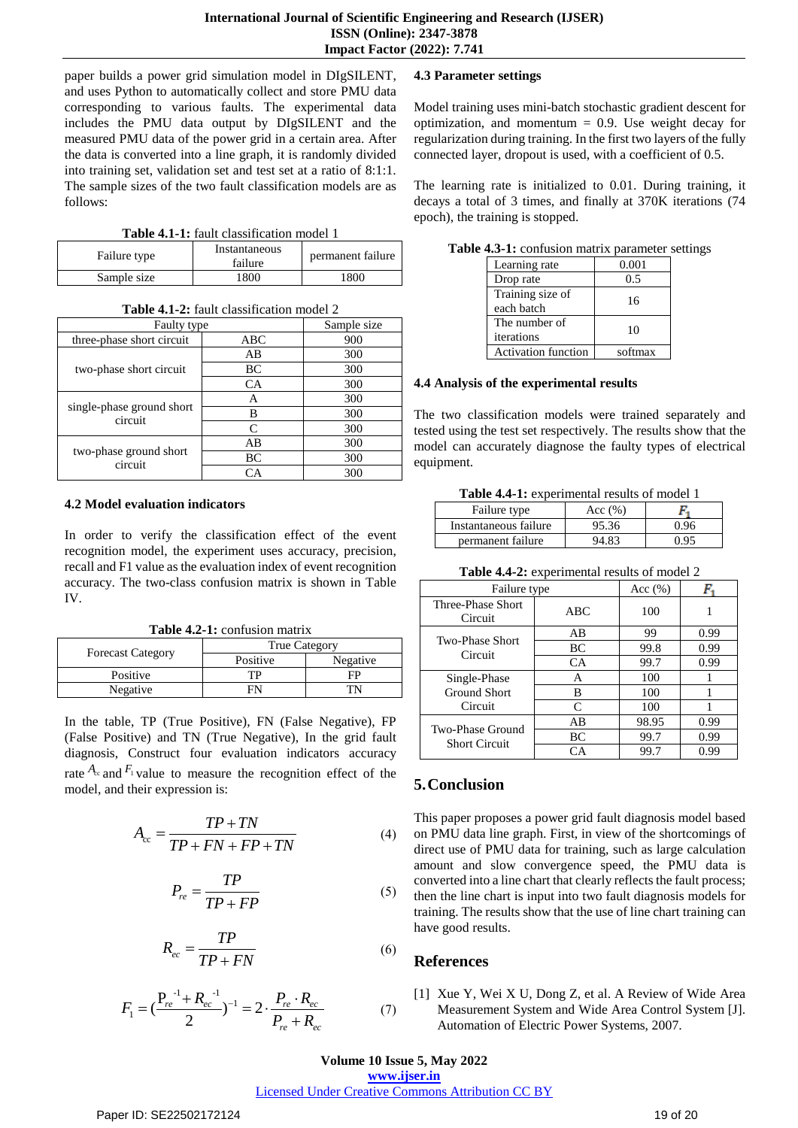paper builds a power grid simulation model in DIgSILENT, and uses Python to automatically collect and store PMU data corresponding to various faults. The experimental data includes the PMU data output by DIgSILENT and the measured PMU data of the power grid in a certain area. After the data is converted into a line graph, it is randomly divided into training set, validation set and test set at a ratio of 8:1:1. The sample sizes of the two fault classification models are as follows:

**Table 4.1-1:** fault classification model 1

| Failure type | Instantaneous<br>failure | permanent failure |
|--------------|--------------------------|-------------------|
| Sample size  | 1800                     | 1800              |

| $\blacksquare$ . Rus Chubblingth on though $\omega$ |     |             |  |
|-----------------------------------------------------|-----|-------------|--|
| <b>Faulty type</b>                                  |     | Sample size |  |
| three-phase short circuit                           | ABC | 900         |  |
| two-phase short circuit                             | AВ  | 300         |  |
|                                                     | BC  | 300         |  |
|                                                     | CA  | 300         |  |
| single-phase ground short<br>circuit                | Α   | 300         |  |
|                                                     | В   | 300         |  |
|                                                     | C   | 300         |  |
| two-phase ground short<br>circuit                   | AВ  | 300         |  |
|                                                     | BC  | 300         |  |
|                                                     | CА  | 300         |  |

#### **Table 4.1-2:** fault classification model 2

#### **4.2 Model evaluation indicators**

In order to verify the classification effect of the event recognition model, the experiment uses accuracy, precision, recall and F1 value as the evaluation index of event recognition accuracy. The two-class confusion matrix is shown in Table IV.

**Table 4.2-1:** confusion matrix

| <b>Forecast Category</b> | <b>True Category</b> |          |  |
|--------------------------|----------------------|----------|--|
|                          | Positive             | Negative |  |
| Positive                 | TР                   | FP       |  |
| Negative                 |                      |          |  |

In the table, TP (True Positive), FN (False Negative), FP (False Positive) and TN (True Negative), In the grid fault diagnosis, Construct four evaluation indicators accuracy rate  $A_c$  and  $F_1$  value to measure the recognition effect of the model, and their expression is:

$$
A_{cc} = \frac{TP + TN}{TP + FN + FP + TN}
$$
\n<sup>(4)</sup>

$$
P_{re} = \frac{TP}{TP + FP}
$$
 (5)

$$
R_{ec} = \frac{TP}{TP + FN} \tag{6}
$$

$$
F_1 = \left(\frac{P_{re}^{-1} + R_{ec}^{-1}}{2}\right)^{-1} = 2 \cdot \frac{P_{re} \cdot R_{ec}}{P_{re} + R_{ec}} \tag{7}
$$

#### **4.3 Parameter settings**

Model training uses mini-batch stochastic gradient descent for optimization, and momentum  $= 0.9$ . Use weight decay for regularization during training. In the first two layers of the fully connected layer, dropout is used, with a coefficient of 0.5.

The learning rate is initialized to 0.01. During training, it decays a total of 3 times, and finally at 370K iterations (74 epoch), the training is stopped.

| $-0.111$ $-0.011$ $-0.11$ $-0.011$ |         |  |
|------------------------------------|---------|--|
| Learning rate                      | 0.001   |  |
| Drop rate                          | 0.5     |  |
| Training size of<br>each batch     | 16      |  |
| The number of<br>iterations        | 10      |  |
| <b>Activation function</b>         | softmax |  |

**Table 4.3-1:** confusion matrix parameter settings

#### **4.4 Analysis of the experimental results**

The two classification models were trained separately and tested using the test set respectively. The results show that the model can accurately diagnose the faulty types of electrical equipment.

**Table 4.4-1:** experimental results of model 1

| Failure type          | Acc $(\% )$ |      |
|-----------------------|-------------|------|
| Instantaneous failure | 95.36       | 0.96 |
| permanent failure     | 94.83       | ነ ዐና |

**Table 4.4-2:** experimental results of model 2

| Failure type                             |     | Acc $(\% )$ |      |
|------------------------------------------|-----|-------------|------|
| Three-Phase Short<br>Circuit             | ABC | 100         |      |
| <b>Two-Phase Short</b><br>Circuit        | AB  | 99          | 0.99 |
|                                          | BC  | 99.8        | 0.99 |
|                                          | CA  | 99.7        | 0.99 |
| Single-Phase                             | A   | 100         |      |
| Ground Short                             | в   | 100         |      |
| Circuit                                  | C   | 100         |      |
| Two-Phase Ground<br><b>Short Circuit</b> | AB  | 98.95       | 0.99 |
|                                          | BC  | 99.7        | 0.99 |
|                                          | CА  | 99.7        | 0.99 |

# **5.Conclusion**

This paper proposes a power grid fault diagnosis model based on PMU data line graph. First, in view of the shortcomings of direct use of PMU data for training, such as large calculation amount and slow convergence speed, the PMU data is converted into a line chart that clearly reflects the fault process; then the line chart is input into two fault diagnosis models for training. The results show that the use of line chart training can have good results.

## **References**

[1] Xue Y, Wei X U, Dong Z, et al. A Review of Wide Area Measurement System and Wide Area Control System [J]. Automation of Electric Power Systems, 2007.

**Volume 10 Issue 5, May 2022**

**www.ijser.in** Licensed Under Creative Commons Attribution CC BY